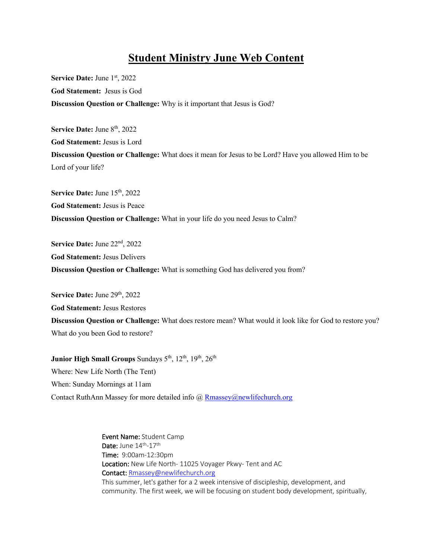## **Student Ministry June Web Content**

**Service Date: June 1st, 2022 God Statement:** Jesus is God **Discussion Question or Challenge:** Why is it important that Jesus is God?

Service Date: June 8<sup>th</sup>, 2022 **God Statement:** Jesus is Lord **Discussion Question or Challenge:** What does it mean for Jesus to be Lord? Have you allowed Him to be Lord of your life?

Service Date: June 15<sup>th</sup>, 2022 **God Statement:** Jesus is Peace **Discussion Question or Challenge:** What in your life do you need Jesus to Calm?

**Service Date:** June 22nd, 2022 **God Statement:** Jesus Delivers **Discussion Question or Challenge:** What is something God has delivered you from?

Service Date: June 29<sup>th</sup>, 2022

**God Statement:** Jesus Restores

**Discussion Question or Challenge:** What does restore mean? What would it look like for God to restore you? What do you been God to restore?

**Junior High Small Groups Sundays 5<sup>th</sup>**, 12<sup>th</sup>, 19<sup>th</sup>, 26<sup>th</sup> Where: New Life North (The Tent) When: Sunday Mornings at 11am Contact RuthAnn Massey for more detailed info @ Rmassey@newlifechurch.org

> Event Name: Student Camp Date: June 14<sup>th</sup>-17<sup>th</sup> Time: 9:00am-12:30pm Location: New Life North- 11025 Voyager Pkwy- Tent and AC Contact: Rmassey@newlifechurch.org This summer, let's gather for a 2 week intensive of discipleship, development, and community. The first week, we will be focusing on student body development, spiritually,